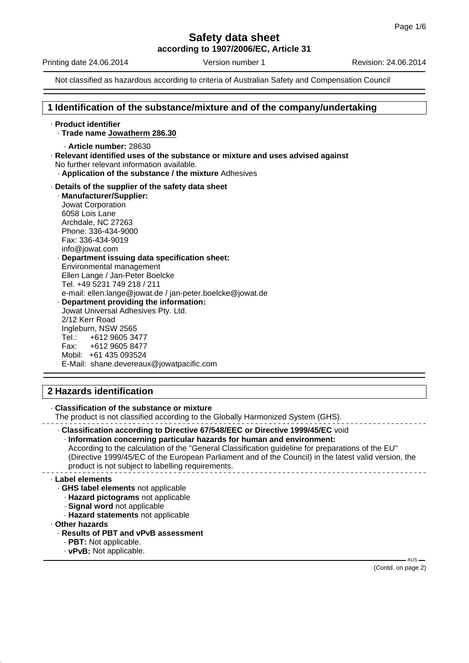**according to 1907/2006/EC, Article 31**

Printing date 24.06.2014 **Version number 1** Revision: 24.06.2014

Not classified as hazardous according to criteria of Australian Safety and Compensation Council

## **1 Identification of the substance/mixture and of the company/undertaking**

· **Product identifier**

- · **Trade name Jowatherm 286.30**
	- · **Article number:** 28630
- · **Relevant identified uses of the substance or mixture and uses advised against** No further relevant information available.
	- · **Application of the substance / the mixture** Adhesives
- · **Details of the supplier of the safety data sheet**
	- · **Manufacturer/Supplier:** Jowat Corporation 6058 Lois Lane Archdale, NC 27263 Phone: 336-434-9000 Fax: 336-434-9019 info@jowat.com · **Department issuing data specification sheet:** Environmental management Ellen Lange / Jan-Peter Boelcke Tel. +49 5231 749 218 / 211 e-mail: ellen.lange@jowat.de / jan-peter.boelcke@jowat.de · **Department providing the information:** Jowat Universal Adhesives Pty. Ltd. 2/12 Kerr Road Ingleburn, NSW 2565 Tel.: +612 9605 3477 Fax: +612 9605 8477 Mobil: +61 435 093524 E-Mail: shane.devereaux@jowatpacific.com

## **2 Hazards identification**

· **Classification of the substance or mixture** The product is not classified according to the Globally Harmonized System (GHS). · **Classification according to Directive 67/548/EEC or Directive 1999/45/EC** void

· **Information concerning particular hazards for human and environment:** According to the calculation of the "General Classification guideline for preparations of the EU" (Directive 1999/45/EC of the European Parliament and of the Council) in the latest valid version, the product is not subject to labelling requirements.

### · **Label elements**

- · **GHS label elements** not applicable
	- · **Hazard pictograms** not applicable
	- · **Signal word** not applicable
	- · **Hazard statements** not applicable
- · **Other hazards**
	- · **Results of PBT and vPvB assessment**
		- · **PBT:** Not applicable.
		- · **vPvB:** Not applicable.

(Contd. on page 2)

 $-$  AUS  $-$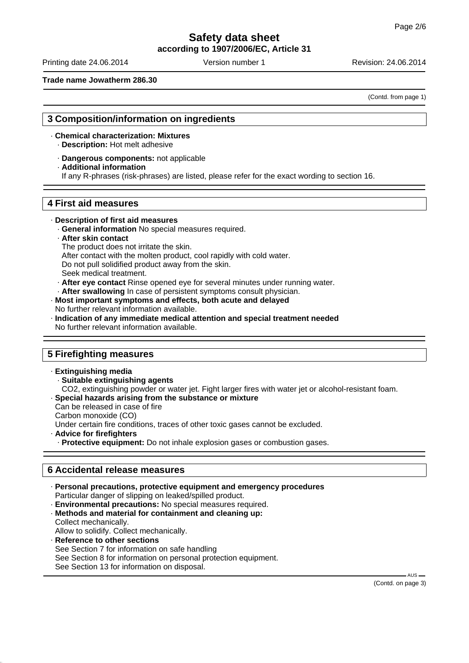**according to 1907/2006/EC, Article 31**

Printing date 24.06.2014 **Version number 1** Revision: 24.06.2014

**Trade name Jowatherm 286.30**

(Contd. from page 1)

## **3 Composition/information on ingredients**

- · **Chemical characterization: Mixtures** · **Description:** Hot melt adhesive
	- · **Dangerous components:** not applicable
	- · **Additional information**
	- If any R-phrases (risk-phrases) are listed, please refer for the exact wording to section 16.

## **4 First aid measures**

- · **Description of first aid measures**
	- · **General information** No special measures required.
	- · **After skin contact**
	- The product does not irritate the skin.
	- After contact with the molten product, cool rapidly with cold water.
	- Do not pull solidified product away from the skin.
	- Seek medical treatment.
	- · **After eye contact** Rinse opened eye for several minutes under running water.
- After swallowing In case of persistent symptoms consult physician.
- · **Most important symptoms and effects, both acute and delayed** No further relevant information available.
- · **Indication of any immediate medical attention and special treatment needed** No further relevant information available.

## **5 Firefighting measures**

· **Extinguishing media** · **Suitable extinguishing agents** CO2, extinguishing powder or water jet. Fight larger fires with water jet or alcohol-resistant foam. · **Special hazards arising from the substance or mixture** Can be released in case of fire Carbon monoxide (CO) Under certain fire conditions, traces of other toxic gases cannot be excluded. · **Advice for firefighters** · **Protective equipment:** Do not inhale explosion gases or combustion gases.

# **6 Accidental release measures**

- · **Personal precautions, protective equipment and emergency procedures** Particular danger of slipping on leaked/spilled product. · **Environmental precautions:** No special measures required.
- · **Methods and material for containment and cleaning up:** Collect mechanically. Allow to solidify. Collect mechanically.
- · **Reference to other sections** See Section 7 for information on safe handling See Section 8 for information on personal protection equipment.
- See Section 13 for information on disposal.

(Contd. on page 3)

 $AUS$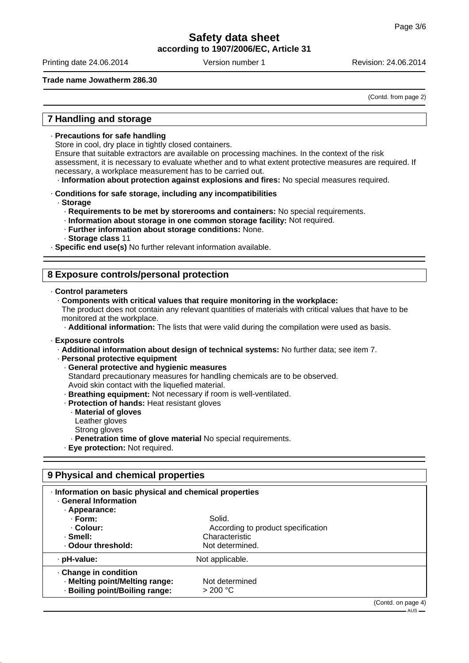## **Safety data sheet according to 1907/2006/EC, Article 31**

Printing date 24.06.2014 **Version number 1** Revision: 24.06.2014

## **Trade name Jowatherm 286.30**

(Contd. from page 2)

## **7 Handling and storage**

#### · **Precautions for safe handling**

Store in cool, dry place in tightly closed containers.

Ensure that suitable extractors are available on processing machines. In the context of the risk assessment, it is necessary to evaluate whether and to what extent protective measures are required. If necessary, a workplace measurement has to be carried out.

· **Information about protection against explosions and fires:** No special measures required.

#### · **Conditions for safe storage, including any incompatibilities**

· **Storage**

- · **Requirements to be met by storerooms and containers:** No special requirements.
- · **Information about storage in one common storage facility:** Not required.
- · **Further information about storage conditions:** None.
- · **Storage class** 11

· **Specific end use(s)** No further relevant information available.

## **8 Exposure controls/personal protection**

## · **Control parameters**

· **Components with critical values that require monitoring in the workplace:**

The product does not contain any relevant quantities of materials with critical values that have to be monitored at the workplace.

· **Additional information:** The lists that were valid during the compilation were used as basis.

#### · **Exposure controls**

- · **Additional information about design of technical systems:** No further data; see item 7.
- · **Personal protective equipment**
	- · **General protective and hygienic measures**
	- Standard precautionary measures for handling chemicals are to be observed.
	- Avoid skin contact with the liquefied material.
	- · **Breathing equipment:** Not necessary if room is well-ventilated.
	- · **Protection of hands:** Heat resistant gloves
		- · **Material of gloves**
		- Leather gloves
		- Strong gloves
		- · **Penetration time of glove material** No special requirements.
	- · **Eye protection:** Not required.

# **9 Physical and chemical properties** · **Information on basic physical and chemical properties**

| · General Information          |                                    |                    |
|--------------------------------|------------------------------------|--------------------|
| · Appearance:                  |                                    |                    |
| · Form:                        | Solid.                             |                    |
| . Colour:                      | According to product specification |                    |
| · Smell:                       | Characteristic                     |                    |
| Odour threshold:               | Not determined.                    |                    |
| · pH-value:                    | Not applicable.                    |                    |
| · Change in condition          |                                    |                    |
| · Melting point/Melting range: | Not determined                     |                    |
| · Boiling point/Boiling range: | $>$ 200 °C                         |                    |
|                                |                                    | (Contd. on page 4) |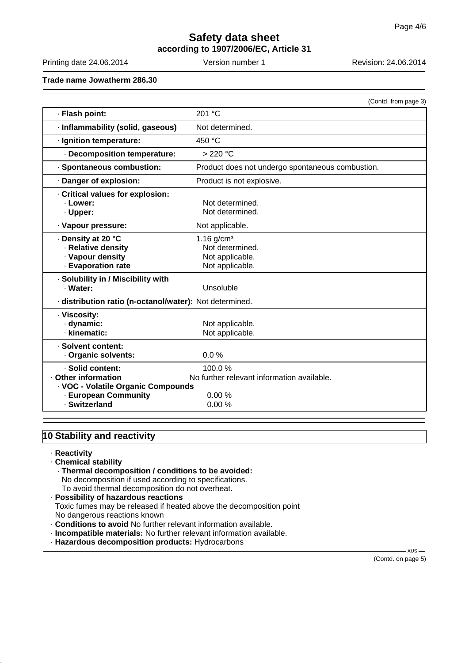# **Safety data sheet according to 1907/2006/EC, Article 31**

Printing date 24.06.2014 Version number 1 Revision: 24.06.2014

**Trade name Jowatherm 286.30**

|                                                                                                     | (Contd. from page 3)                                                              |  |
|-----------------------------------------------------------------------------------------------------|-----------------------------------------------------------------------------------|--|
| · Flash point:                                                                                      | 201 °C                                                                            |  |
| · Inflammability (solid, gaseous)                                                                   | Not determined.                                                                   |  |
| · Ignition temperature:                                                                             | 450 °C                                                                            |  |
| · Decomposition temperature:                                                                        | > 220 °C                                                                          |  |
| · Spontaneous combustion:                                                                           | Product does not undergo spontaneous combustion.                                  |  |
| · Danger of explosion:                                                                              | Product is not explosive.                                                         |  |
| Critical values for explosion:<br>· Lower:<br>· Upper:                                              | Not determined.<br>Not determined.                                                |  |
| · Vapour pressure:                                                                                  | Not applicable.                                                                   |  |
| . Density at 20 °C<br>· Relative density<br>· Vapour density<br>· Evaporation rate                  | $1.16$ g/cm <sup>3</sup><br>Not determined.<br>Not applicable.<br>Not applicable. |  |
| · Solubility in / Miscibility with<br>· Water:                                                      | Unsoluble                                                                         |  |
| · distribution ratio (n-octanol/water): Not determined.                                             |                                                                                   |  |
| · Viscosity:<br>· dynamic:<br>· kinematic:                                                          | Not applicable.<br>Not applicable.                                                |  |
| · Solvent content:<br>Organic solvents:                                                             | 0.0%                                                                              |  |
| · Solid content:<br>Other information<br>· VOC - Volatile Organic Compounds<br>· European Community | 100.0%<br>No further relevant information available.<br>0.00%                     |  |
| · Switzerland                                                                                       | 0.00%                                                                             |  |

# **10 Stability and reactivity**

· **Reactivity**

## · **Chemical stability**

- · **Thermal decomposition / conditions to be avoided:** No decomposition if used according to specifications. To avoid thermal decomposition do not overheat.
- · **Possibility of hazardous reactions** Toxic fumes may be released if heated above the decomposition point No dangerous reactions known
- · **Conditions to avoid** No further relevant information available.
- · **Incompatible materials:** No further relevant information available.
- · **Hazardous decomposition products:** Hydrocarbons

(Contd. on page 5)

 $-$  AUS  $-$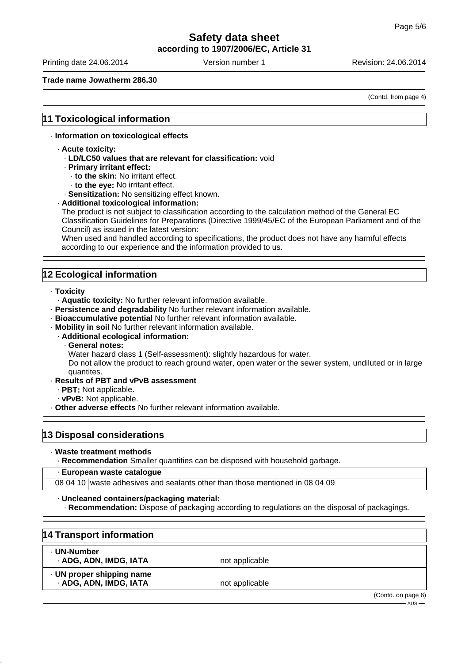**according to 1907/2006/EC, Article 31**

Printing date 24.06.2014 **Version number 1** Revision: 24.06.2014

## **Trade name Jowatherm 286.30**

(Contd. from page 4)

## **11 Toxicological information**

## · **Information on toxicological effects**

- · **Acute toxicity:**
	- · **LD/LC50 values that are relevant for classification:** void
	- · **Primary irritant effect:**
		- · **to the skin:** No irritant effect.
		- · **to the eye:** No irritant effect.

· **Sensitization:** No sensitizing effect known.

#### · **Additional toxicological information:**

The product is not subject to classification according to the calculation method of the General EC Classification Guidelines for Preparations (Directive 1999/45/EC of the European Parliament and of the Council) as issued in the latest version:

When used and handled according to specifications, the product does not have any harmful effects according to our experience and the information provided to us.

# **12 Ecological information**

- · **Toxicity**
	- · **Aquatic toxicity:** No further relevant information available.
- · **Persistence and degradability** No further relevant information available.
- · **Bioaccumulative potential** No further relevant information available.
- · **Mobility in soil** No further relevant information available.
	- · **Additional ecological information:**
		- · **General notes:**
		- Water hazard class 1 (Self-assessment): slightly hazardous for water.

Do not allow the product to reach ground water, open water or the sewer system, undiluted or in large quantites.

- · **Results of PBT and vPvB assessment**
	- · **PBT:** Not applicable.
	- · **vPvB:** Not applicable.
- · **Other adverse effects** No further relevant information available.

## **13 Disposal considerations**

· **Waste treatment methods**

· **Recommendation** Smaller quantities can be disposed with household garbage.

### · **European waste catalogue**

08 04 10 waste adhesives and sealants other than those mentioned in 08 04 09

#### · **Uncleaned containers/packaging material:**

· **Recommendation:** Dispose of packaging according to regulations on the disposal of packagings.

| 14 Transport information                            |                |                                   |
|-----------------------------------------------------|----------------|-----------------------------------|
| . UN-Number<br>· ADG, ADN, IMDG, IATA               | not applicable |                                   |
| · UN proper shipping name<br>- ADG, ADN, IMDG, IATA | not applicable |                                   |
|                                                     |                | (Contd. on page 6)<br>$-$ AUS $-$ |